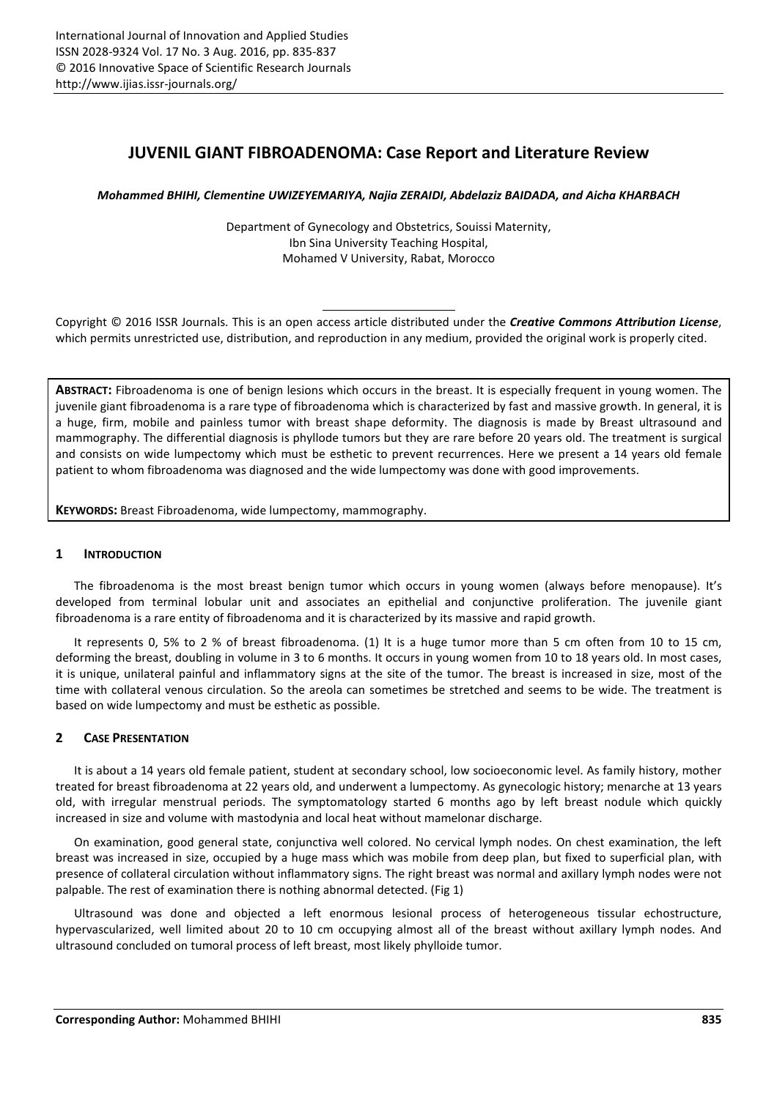# **JUVENIL GIANT FIBROADENOMA: Case Report and Literature Review**

*Mohammed BHIHI, Clementine UWIZEYEMARIYA, Najia ZERAIDI, Abdelaziz BAIDADA, and Aicha KHARBACH* 

Department of Gynecology and Obstetrics, Souissi Maternity, Ibn Sina University Teaching Hospital, Mohamed V University, Rabat, Morocco

Copyright © 2016 ISSR Journals. This is an open access article distributed under the *Creative Commons Attribution License*, which permits unrestricted use, distribution, and reproduction in any medium, provided the original work is properly cited.

**ABSTRACT:** Fibroadenoma is one of benign lesions which occurs in the breast. It is especially frequent in young women. The juvenile giant fibroadenoma is a rare type of fibroadenoma which is characterized by fast and massive growth. In general, it is a huge, firm, mobile and painless tumor with breast shape deformity. The diagnosis is made by Breast ultrasound and mammography. The differential diagnosis is phyllode tumors but they are rare before 20 years old. The treatment is surgical and consists on wide lumpectomy which must be esthetic to prevent recurrences. Here we present a 14 years old female patient to whom fibroadenoma was diagnosed and the wide lumpectomy was done with good improvements.

**KEYWORDS:** Breast Fibroadenoma, wide lumpectomy, mammography.

### **1 INTRODUCTION**

The fibroadenoma is the most breast benign tumor which occurs in young women (always before menopause). It's developed from terminal lobular unit and associates an epithelial and conjunctive proliferation. The juvenile giant fibroadenoma is a rare entity of fibroadenoma and it is characterized by its massive and rapid growth.

It represents 0, 5% to 2 % of breast fibroadenoma. (1) It is a huge tumor more than 5 cm often from 10 to 15 cm, deforming the breast, doubling in volume in 3 to 6 months. It occurs in young women from 10 to 18 years old. In most cases, it is unique, unilateral painful and inflammatory signs at the site of the tumor. The breast is increased in size, most of the time with collateral venous circulation. So the areola can sometimes be stretched and seems to be wide. The treatment is based on wide lumpectomy and must be esthetic as possible.

## **2 CASE PRESENTATION**

It is about a 14 years old female patient, student at secondary school, low socioeconomic level. As family history, mother treated for breast fibroadenoma at 22 years old, and underwent a lumpectomy. As gynecologic history; menarche at 13 years old, with irregular menstrual periods. The symptomatology started 6 months ago by left breast nodule which quickly increased in size and volume with mastodynia and local heat without mamelonar discharge.

On examination, good general state, conjunctiva well colored. No cervical lymph nodes. On chest examination, the left breast was increased in size, occupied by a huge mass which was mobile from deep plan, but fixed to superficial plan, with presence of collateral circulation without inflammatory signs. The right breast was normal and axillary lymph nodes were not palpable. The rest of examination there is nothing abnormal detected. (Fig 1)

Ultrasound was done and objected a left enormous lesional process of heterogeneous tissular echostructure, hypervascularized, well limited about 20 to 10 cm occupying almost all of the breast without axillary lymph nodes. And ultrasound concluded on tumoral process of left breast, most likely phylloide tumor.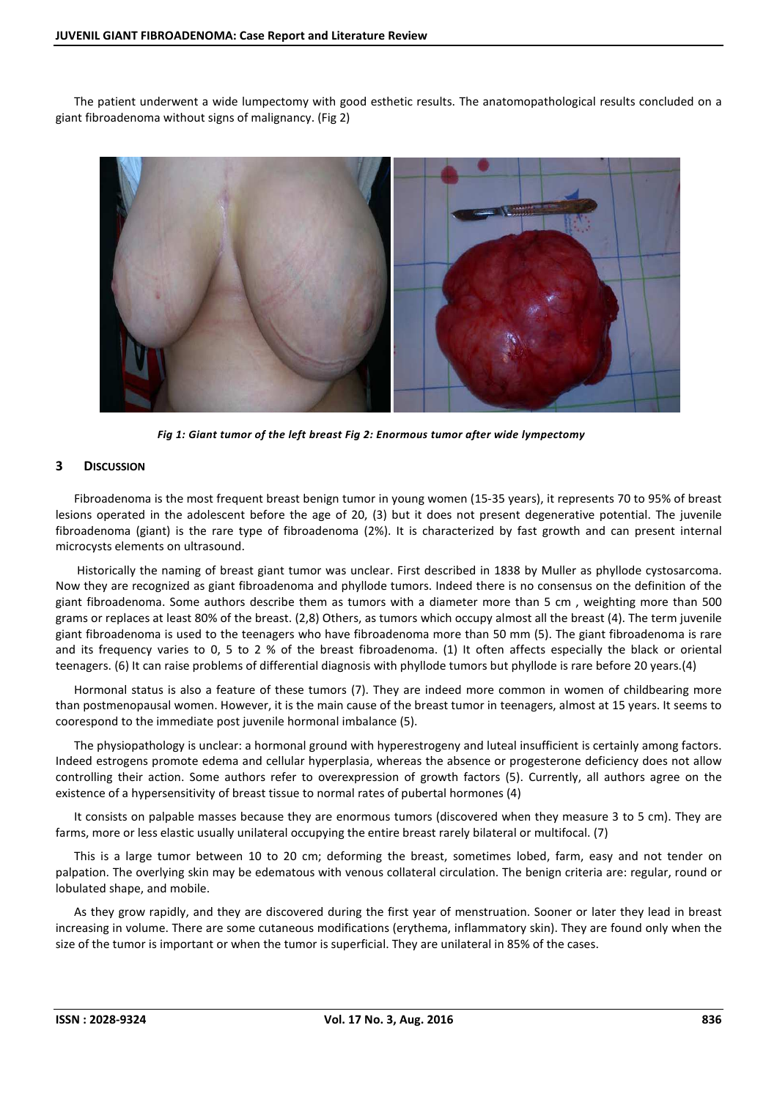The patient underwent a wide lumpectomy with good esthetic results. The anatomopathological results concluded on a giant fibroadenoma without signs of malignancy. (Fig 2)



*Fig 1: Giant tumor of the left breast Fig 2: Enormous tumor after wide lympectomy* 

#### **3 DISCUSSION**

Fibroadenoma is the most frequent breast benign tumor in young women (15-35 years), it represents 70 to 95% of breast lesions operated in the adolescent before the age of 20, (3) but it does not present degenerative potential. The juvenile fibroadenoma (giant) is the rare type of fibroadenoma (2%). It is characterized by fast growth and can present internal microcysts elements on ultrasound.

 Historically the naming of breast giant tumor was unclear. First described in 1838 by Muller as phyllode cystosarcoma. Now they are recognized as giant fibroadenoma and phyllode tumors. Indeed there is no consensus on the definition of the giant fibroadenoma. Some authors describe them as tumors with a diameter more than 5 cm , weighting more than 500 grams or replaces at least 80% of the breast. (2,8) Others, as tumors which occupy almost all the breast (4). The term juvenile giant fibroadenoma is used to the teenagers who have fibroadenoma more than 50 mm (5). The giant fibroadenoma is rare and its frequency varies to 0, 5 to 2 % of the breast fibroadenoma. (1) It often affects especially the black or oriental teenagers. (6) It can raise problems of differential diagnosis with phyllode tumors but phyllode is rare before 20 years.(4)

Hormonal status is also a feature of these tumors (7). They are indeed more common in women of childbearing more than postmenopausal women. However, it is the main cause of the breast tumor in teenagers, almost at 15 years. It seems to coorespond to the immediate post juvenile hormonal imbalance (5).

The physiopathology is unclear: a hormonal ground with hyperestrogeny and luteal insufficient is certainly among factors. Indeed estrogens promote edema and cellular hyperplasia, whereas the absence or progesterone deficiency does not allow controlling their action. Some authors refer to overexpression of growth factors (5). Currently, all authors agree on the existence of a hypersensitivity of breast tissue to normal rates of pubertal hormones (4)

It consists on palpable masses because they are enormous tumors (discovered when they measure 3 to 5 cm). They are farms, more or less elastic usually unilateral occupying the entire breast rarely bilateral or multifocal. (7)

This is a large tumor between 10 to 20 cm; deforming the breast, sometimes lobed, farm, easy and not tender on palpation. The overlying skin may be edematous with venous collateral circulation. The benign criteria are: regular, round or lobulated shape, and mobile.

As they grow rapidly, and they are discovered during the first year of menstruation. Sooner or later they lead in breast increasing in volume. There are some cutaneous modifications (erythema, inflammatory skin). They are found only when the size of the tumor is important or when the tumor is superficial. They are unilateral in 85% of the cases.